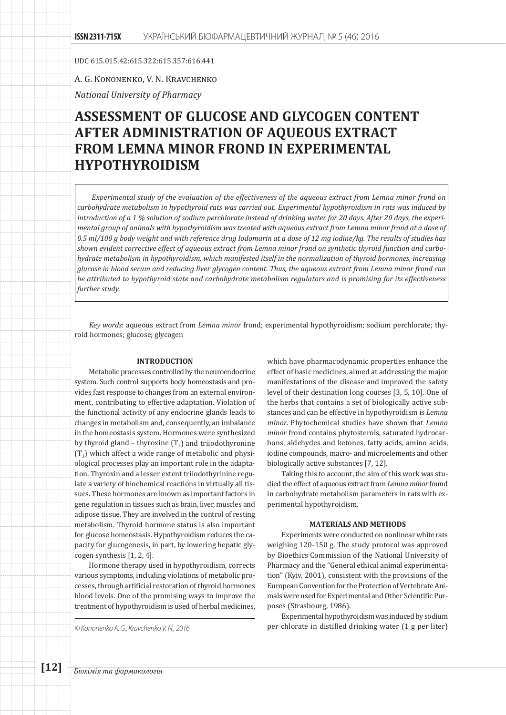UDC 615.015.42:615.322:615.357:616.441

# А. G. Коnonenkо, V. N. Кravchenkо

*National University of Pharmacy*

# **ASSESSMENT OF GLUCOSE AND GLYCOGEN CONTENT AFTER ADMINISTRATION OF AQUEOUS EXTRACT FROM LEMNA MINOR FROND IN EXPERIMENTAL HYPOTHYROIDISM**

*Experimental study of the evaluation of the effectiveness of the aqueous extract from Lemna minor frond on carbohydrate metabolism in hypothyroid rats was carried out. Experimental hypothyroidism in rats was induced by introduction of a 1 % solution of sodium perchlorate instead of drinking water for 20 days. After 20 days, the experimental group of animals with hypothyroidism was treated with aqueous extract from Lemna minor frond at a dose of 0.5 ml/100 g body weight and with reference drug Iodomarin at a dose of 12 mg iodine/kg. The results of studies has shown evident corrective effect of aqueous extract from Lemna minor frond on synthetic thyroid function and carbohydrate metabolism in hypothyroidism, which manifested itself in the normalization of thyroid hormones, increasing glucose in blood serum and reducing liver glycogen content. Thus, the aqueous extract from Lemna minor frond can be attributed to hypothyroid state and carbohydrate metabolism regulators and is promising for its effectiveness further study.*

*Key words*: aqueous extract from *Lemna minor* frond; experimental hypothyroidism; sodium perchlorate; thyroid hormones; glucose; glycogen

### **INTRODUCTION**

Metabolic processes controlled by the neuroendocrine system. Such control supports body homeostasis and provides fast response to changes from an external environment, contributing to effective adaptation. Violation of the functional activity of any endocrine glands leads to changes in metabolism and, consequently, an imbalance in the homeostasis system. Hormones were synthesized by thyroid gland – thyroxine  $(T_4)$  and triiodothyronine  $(T_2)$  which affect a wide range of metabolic and physiological processes play an important role in the adaptation. Thyroxin and a lesser extent triiodothyrinine regulate a variety of biochemical reactions in virtually all tissues. These hormones are known as important factors in gene regulation in tissues such as brain, liver, muscles and adipose tissue. They are involved in the control of resting metabolism. Thyroid hormone status is also important for glucose homeostasis. Hypothyroidism reduces the capacity for glucogenesis, in part, by lowering hepatic glycogen synthesis [1, 2, 4].

Hormone therapy used in hypothyroidism, corrects various symptoms, including violations of metabolic processes, through artificial restoration of thyroid hormones blood levels. One of the promising ways to improve the treatment of hypothyroidism is used of herbal medicines,

which have pharmacodynamic properties enhance the effect of basic medicines, aimed at addressing the major manifestations of the disease and improved the safety level of their destination long courses [3, 5, 10]. One of the herbs that contains a set of biologically active substances and can be effective in hypothyroidism is *Lemna minor*. Phytochemical studies have shown that *Lemna minor* frond contains phytosterols, saturated hydrocarbons, aldehydes and ketones, fatty acids, amino acids, iodine compounds, macro- and microelements and other biologically active substances [7, 12].

Taking this to account, the aim of this work was studied the effect of aqueous extract from *Lemna minor* found in carbohydrate metabolism parameters in rats with experimental hypothyroidism.

## **MATERIALS AND METHODS**

Experiments were conducted on nonlinear white rats weighing 120-150 g. The study protocol was approved by Bioethics Commission of the National University of Pharmacy and the "General ethical animal experimentation" (Kyiv, 2001), consistent with the provisions of the European Convention for the Protection of Vertebrate Animals were used for Experimental and Other Scientific Purposes (Strasbourg, 1986).

Experimental hypothyroidism was induced by sodium *© Kononenko A. G., Kravchenko V. N., 2016* per chlorate in distilled drinking water (1 g per liter)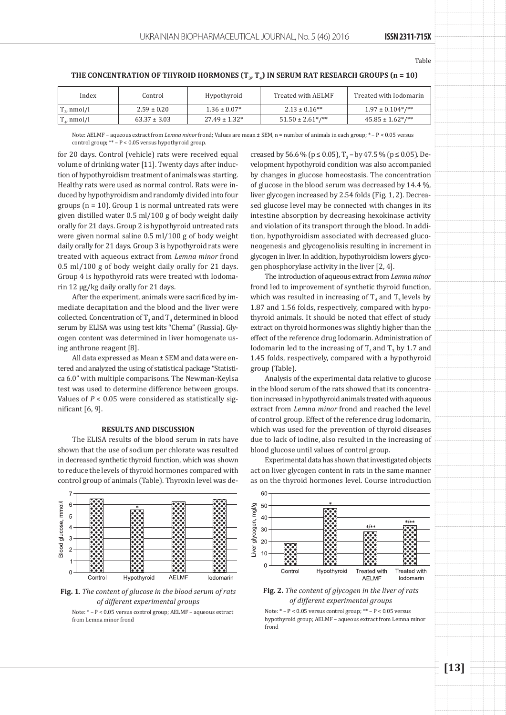Table

| THE CONCENTRATION OF THYROID HORMONES $(T_v, T_u)$ IN SERUM RAT RESEARCH GROUPS (n = 10) |  |
|------------------------------------------------------------------------------------------|--|
|                                                                                          |  |

| $1.97 \pm 0.104^*/$ **<br>$2.13 \pm 0.16***$<br>$1.36 \pm 0.07*$<br>$T_{\rm a}$ , nmol/l<br>$2.59 \pm 0.20$  |  |
|--------------------------------------------------------------------------------------------------------------|--|
| $27.49 \pm 1.32^*$<br>$45.85 \pm 1.62$ */**<br>$63.37 \pm 3.03$<br>$51.50 \pm 2.61$ */**<br>$T_{\mu}$ nmol/l |  |

Note: AELMF – aqueous extract from *Lemna minor* frond; Values are mean ± SEM, n = number of animals in each group; \* – P < 0.05 versus control group; \*\* – P < 0.05 versus hypothyroid group.

for 20 days. Control (vehicle) rats were received equal volume of drinking water [11]. Twenty days after induction of hypothyroidism treatment of animals was starting. Healthy rats were used as normal control. Rats were induced by hypothyroidism and randomly divided into four groups ( $n = 10$ ). Group 1 is normal untreated rats were given distilled water 0.5 ml/100 g of body weight daily orally for 21 days. Group 2 is hypothyroid untreated rats were given normal saline 0.5 ml/100 g of body weight daily orally for 21 days. Group 3 is hypothyroid rats were treated with aqueous extract from *Lemna minor* frond 0.5 ml/100 g of body weight daily orally for 21 days. Group 4 is hypothyroid rats were treated with Iodomarin 12 µg/kg daily orally for 21 days.

After the experiment, animals were sacrificed by immediate decapitation and the blood and the liver were collected. Concentration of  $T_3$  and  $T_4$  determined in blood serum by ELISA was using test kits "Chema" (Russia). Glycogen content was determined in liver homogenate using anthrone reagent [8].

All data expressed as Mean ± SEM and data were entered and analyzed the using of statistical package "Statistica 6.0" with multiple comparisons. The Newman-Keylsa test was used to determine difference between groups. Values of *P* < 0.05 were considered as statistically significant [6, 9].

#### **RESULTS AND DISCUSSION**

The ELISA results of the blood serum in rats have shown that the use of sodium per chlorate was resulted in decreased synthetic thyroid function, which was shown to reduce the levels of thyroid hormones compared with control group of animals (Table). Thyroxin level was de-



**Fig. 1***. The content of glucose in the blood serum of rats of different experimental groups*

Note: \* – P < 0.05 versus control group; AELMF – aqueous extract from Lemna minor frond

creased by 56.6 % ( $p \le 0.05$ ),  $T_2$  – by 47.5 % ( $p \le 0.05$ ). Development hypothyroid condition was also accompanied by changes in glucose homeostasis. The concentration of glucose in the blood serum was decreased by 14.4 %, liver glycogen increased by 2.54 folds (Fig. 1, 2). Decreased glucose level may be connected with changes in its intestine absorption by decreasing hexokinase activity and violation of its transport through the blood. In addition, hypothyroidism associated with decreased gluconeogenesis and glycogenolisis resulting in increment in glycogen in liver. In addition, hypothyroidism lowers glycogen phosphorylase activity in the liver [2, 4].

The introduction of aqueous extract from *Lemna minor*  frond led to improvement of synthetic thyroid function, which was resulted in increasing of  $T_4$  and  $T_3$  levels by 1.87 and 1.56 folds, respectively, compared with hypothyroid animals. It should be noted that effect of study extract on thyroid hormones was slightly higher than the effect of the reference drug Iodomarin. Administration of Iodomarin led to the increasing of  $T_4$  and  $T_3$  by 1.7 and 1.45 folds, respectively, compared with a hypothyroid group (Table).

Analysis of the experimental data relative to glucose in the blood serum of the rats showed that its concentration increased in hypothyroid animals treated with aqueous extract from *Lemna minor* frond and reached the level of control group. Effect of the reference drug Iodomarin, which was used for the prevention of thyroid diseases due to lack of iodine, also resulted in the increasing of blood glucose until values of control group.

Experimental data has shown that investigated objects act on liver glycogen content in rats in the same manner as on the thyroid hormones level. Course introduction



**Fig. 2.** *The content of glycogen in the liver of rats of different experimental groups*

Note: \* – P < 0.05 versus control group; \*\* – P < 0.05 versus hypothyroid group; AELMF – aqueous extract from Lemna minor frond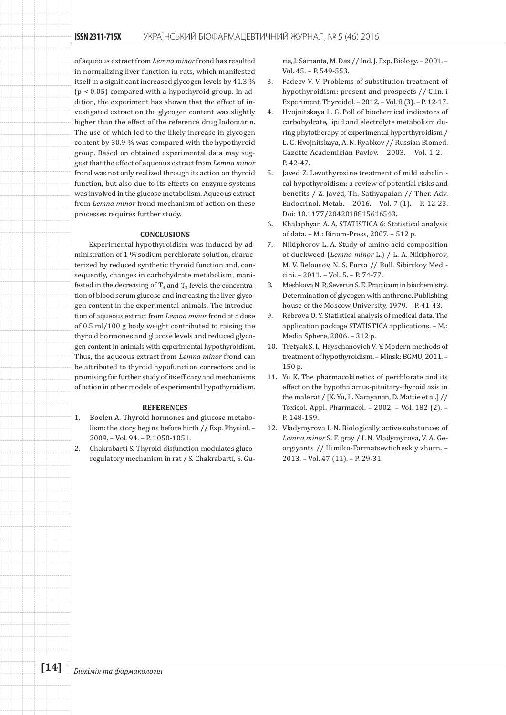of aqueous extract from *Lemna minor* frond has resulted in normalizing liver function in rats, which manifested itself in a significant increased glycogen levels by 41.3 % (p < 0.05) compared with a hypothyroid group. In addition, the experiment has shown that the effect of investigated extract on the glycogen content was slightly higher than the effect of the reference drug Iodomarin. The use of which led to the likely increase in glycogen content by 30.9 % was compared with the hypothyroid group. Based on obtained experimental data may suggest that the effect of aqueous extract from *Lemna minor* frond was not only realized through its action on thyroid function, but also due to its effects on enzyme systems was involved in the glucose metabolism. Aqueous extract from *Lemna minor* frond mechanism of action on these processes requires further study.

#### **CONCLUSIONS**

Experimental hypothyroidism was induced by administration of 1 % sodium perchlorate solution, characterized by reduced synthetic thyroid function and, consequently, changes in carbohydrate metabolism, manifested in the decreasing of  $T_4$  and  $T_3$  levels, the concentration of blood serum glucose and increasing the liver glycogen content in the experimental animals. The introduction of aqueous extract from *Lemna minor* frond at a dose of 0.5 ml/100 g body weight contributed to raising the thyroid hormones and glucose levels and reduced glycogen content in animals with experimental hypothyroidism. Thus, the aqueous extract from *Lemna minor* frond can be attributed to thyroid hypofunction correctors and is promising for further study of its efficacy and mechanisms of action in other models of experimental hypothyroidism.

#### **REFERENCES**

- 1. Boelen A. Thyroid hormones and glucose metabolism: the story begins before birth // Exp. Physiol. – 2009. – Vol. 94. – P. 1050-1051.
- 2. Chakrabarti S. Thyroid disfunction modulates glucoregulatory mechanism in rat / S. Chakrabarti, S. Gu-

ria, I. Samanta, M. Das // Ind. J. Exp. Biology. – 2001. – Vol. 45. – P. 549-553.

- 3. Fadeev V. V. Problems of substitution treatment of hypothyroidism: present and prospects // Clin. i Experiment. Thyroidol. – 2012. – Vol. 8 (3). – P. 12-17.
- 4. Hvojnitskaya L. G. Poll of biochemical indicators of carbohydrate, lipid and electrolyte metabolism during phytotherapy of experimental hyperthyroidism / L. G. Hvojnitskaya, A. N. Ryabkov // Russian Biomed. Gazette Academician Pavlov. – 2003. – Vol. 1-2. – P. 42-47.
- 5. Javed Z. Levothyroxine treatment of mild subclinical hypothyroidism: a review of potential risks and benefits / Z. Javed, Th. Sathyapalan // Ther. Adv. Endocrinol. Metab. – 2016. – Vol. 7 (1). – P. 12-23. Doi: 10.1177/2042018815616543.
- 6. Khalaphyan A. A. STATISTICA 6: Statistical analysis of data. – M.: Binom-Press, 2007. – 512 p.
- 7. Nikiphorov L. A. Study of amino acid composition of duckweed (*Lemna minor* L.) / L. A. Nikiphorov, M. V. Belousov, N. S. Fursa // Bull. Sibirskoy Medicini. – 2011. – Vol. 5. – P. 74-77.
- 8. Meshkova N. P., Severun S. E. Practicum in biochemistry. Determination of glycogen with anthrone. Publishing house of the Moscow University, 1979. – P. 41-43.
- 9. Rebrova O. Y. Statistical analysis of medical data. The application package STATISTICA applications. – M.: Media Sphere, 2006. – 312 p.
- 10. Tretyak S. I., Hryschanovich V. Y. Modern methods of treatment of hypothyroidism. – Minsk: BGMU, 2011. – 150 p.
- 11. Yu K. The pharmacokinetics of perchlorate and its effect on the hypothalamus-pituitary-thyroid axis in the male rat / [K. Yu, L. Narayanan, D. Mattie et al.] // Toxicol. Appl. Pharmacol. – 2002. – Vol. 182 (2). – P. 148-159.
- 12. Vladymyrova I. N. Biologically active substunces of *Lemna minor* S. F. gray / І. N. Vladymyrova, V. А. Georgiyants // Himiko-Farmatsevticheskiy zhurn. – 2013. – Vol. 47 (11). – P. 29-31.